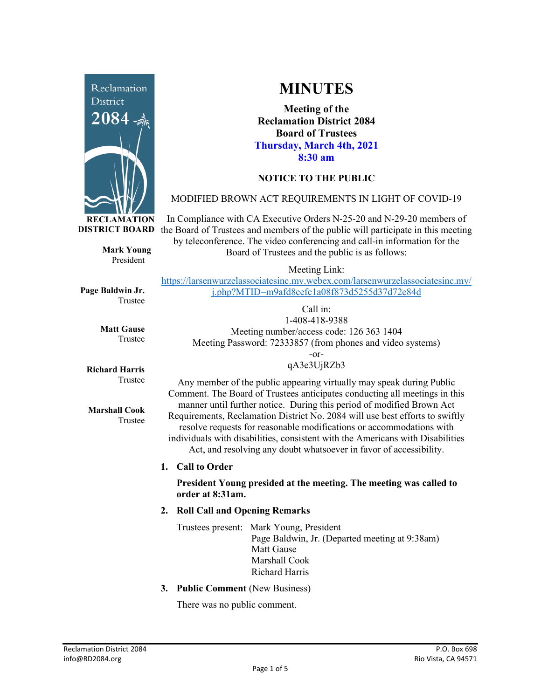

**RECLAMATION** 

**Mark Young** President

**Page Baldwin Jr.** Trustee

> **Matt Gause** Trustee

**Richard Harris** Trustee

**Marshall Cook** Trustee

### **MINUTES**

**Meeting of the Reclamation District 2084 Board of Trustees Thursday, March 4th, 2021 8:30 am**

### **NOTICE TO THE PUBLIC**

### MODIFIED BROWN ACT REQUIREMENTS IN LIGHT OF COVID-19

**DISTRICT BOARD** the Board of Trustees and members of the public will participate in this meeting In Compliance with CA Executive Orders N-25-20 and N-29-20 members of by teleconference. The video conferencing and call-in information for the Board of Trustees and the public is as follows:

Meeting Link:

[https://larsenwurzelassociatesinc.my.webex.com/larsenwurzelassociatesinc.my/](https://larsenwurzelassociatesinc.my.webex.com/larsenwurzelassociatesinc.my/j.php?MTID=m9afd8cefc1a08f873d5255d37d72e84d) [j.php?MTID=m9afd8cefc1a08f873d5255d37d72e84d](https://larsenwurzelassociatesinc.my.webex.com/larsenwurzelassociatesinc.my/j.php?MTID=m9afd8cefc1a08f873d5255d37d72e84d)

Call in: 1-408-418-9388 Meeting number/access code: 126 363 1404 Meeting Password: 72333857 (from phones and video systems) -or-

### qA3e3UjRZb3

Any member of the public appearing virtually may speak during Public Comment. The Board of Trustees anticipates conducting all meetings in this manner until further notice. During this period of modified Brown Act Requirements, Reclamation District No. 2084 will use best efforts to swiftly resolve requests for reasonable modifications or accommodations with individuals with disabilities, consistent with the Americans with Disabilities Act, and resolving any doubt whatsoever in favor of accessibility.

### **1. Call to Order**

**President Young presided at the meeting. The meeting was called to order at 8:31am.**

### **2. Roll Call and Opening Remarks**

Trustees present: Mark Young, President Page Baldwin, Jr. (Departed meeting at 9:38am) Matt Gause Marshall Cook Richard Harris

**3. Public Comment** (New Business)

There was no public comment.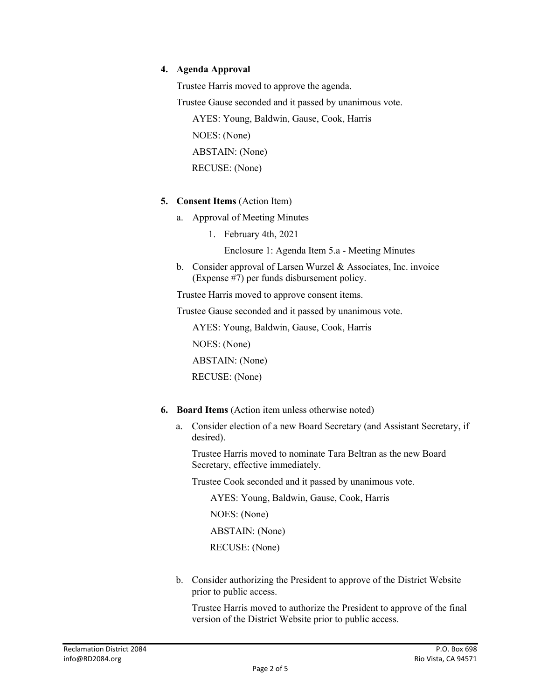#### **4. Agenda Approval**

Trustee Harris moved to approve the agenda.

Trustee Gause seconded and it passed by unanimous vote.

AYES: Young, Baldwin, Gause, Cook, Harris NOES: (None) ABSTAIN: (None)

RECUSE: (None)

- **5. Consent Items** (Action Item)
	- a. Approval of Meeting Minutes
		- 1. February 4th, 2021

Enclosure 1: Agenda Item 5.a - Meeting Minutes

b. Consider approval of Larsen Wurzel & Associates, Inc. invoice (Expense #7) per funds disbursement policy.

Trustee Harris moved to approve consent items.

Trustee Gause seconded and it passed by unanimous vote.

AYES: Young, Baldwin, Gause, Cook, Harris

NOES: (None)

ABSTAIN: (None)

RECUSE: (None)

- **6. Board Items** (Action item unless otherwise noted)
	- a. Consider election of a new Board Secretary (and Assistant Secretary, if desired).

Trustee Harris moved to nominate Tara Beltran as the new Board Secretary, effective immediately.

Trustee Cook seconded and it passed by unanimous vote.

AYES: Young, Baldwin, Gause, Cook, Harris NOES: (None) ABSTAIN: (None) RECUSE: (None)

b. Consider authorizing the President to approve of the District Website prior to public access.

Trustee Harris moved to authorize the President to approve of the final version of the District Website prior to public access.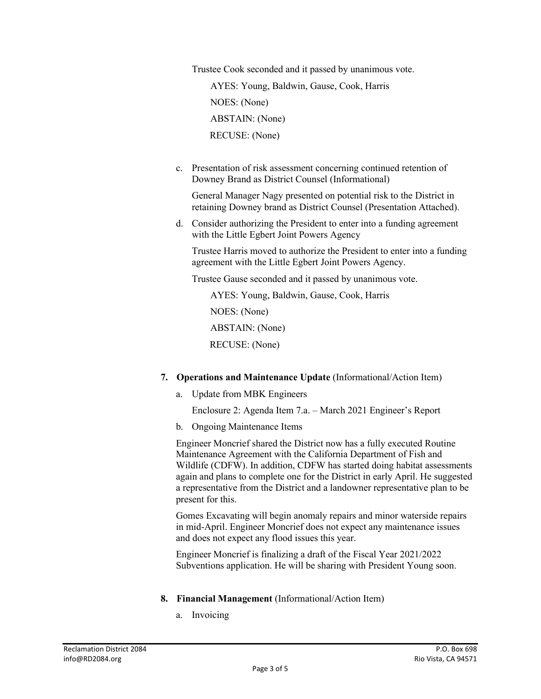Trustee Cook seconded and it passed by unanimous vote.

AYES: Young, Baldwin, Gause, Cook, Harris NOES: (None) ABSTAIN: (None) RECUSE: (None)

c. Presentation of risk assessment concerning continued retention of Downey Brand as District Counsel (Informational)

General Manager Nagy presented on potential risk to the District in retaining Downey brand as District Counsel (Presentation Attached).

d. Consider authorizing the President to enter into a funding agreement with the Little Egbert Joint Powers Agency

Trustee Harris moved to authorize the President to enter into a funding agreement with the Little Egbert Joint Powers Agency.

Trustee Gause seconded and it passed by unanimous vote.

AYES: Young, Baldwin, Gause, Cook, Harris NOES: (None) ABSTAIN: (None) RECUSE: (None)

- **7. Operations and Maintenance Update** (Informational/Action Item)
	- a. Update from MBK Engineers

Enclosure 2: Agenda Item 7.a. – March 2021 Engineer's Report

b. Ongoing Maintenance Items

Engineer Moncrief shared the District now has a fully executed Routine Maintenance Agreement with the California Department of Fish and Wildlife (CDFW). In addition, CDFW has started doing habitat assessments again and plans to complete one for the District in early April. He suggested a representative from the District and a landowner representative plan to be present for this.

Gomes Excavating will begin anomaly repairs and minor waterside repairs in mid-April. Engineer Moncrief does not expect any maintenance issues and does not expect any flood issues this year.

Engineer Moncrief is finalizing a draft of the Fiscal Year 2021/2022 Subventions application. He will be sharing with President Young soon.

- **8. Financial Management** (Informational/Action Item)
	- a. Invoicing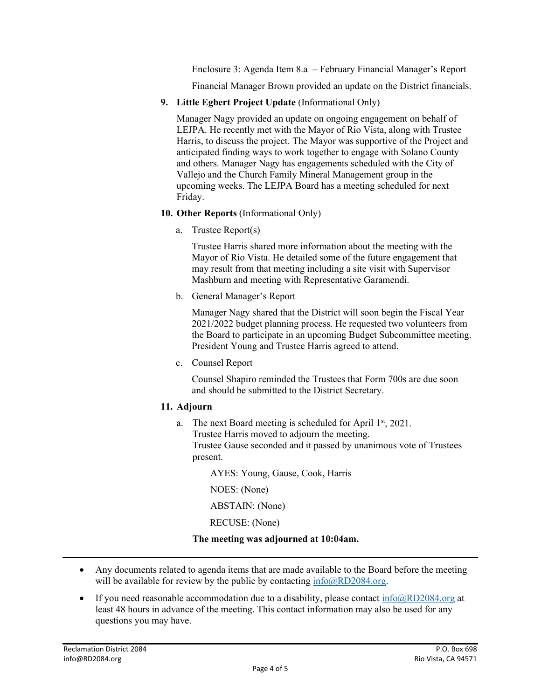Enclosure 3: Agenda Item 8.a – February Financial Manager's Report

Financial Manager Brown provided an update on the District financials.

**9. Little Egbert Project Update** (Informational Only)

Manager Nagy provided an update on ongoing engagement on behalf of LEJPA. He recently met with the Mayor of Rio Vista, along with Trustee Harris, to discuss the project. The Mayor was supportive of the Project and anticipated finding ways to work together to engage with Solano County and others. Manager Nagy has engagements scheduled with the City of Vallejo and the Church Family Mineral Management group in the upcoming weeks. The LEJPA Board has a meeting scheduled for next Friday.

- **10. Other Reports** (Informational Only)
	- a. Trustee Report(s)

Trustee Harris shared more information about the meeting with the Mayor of Rio Vista. He detailed some of the future engagement that may result from that meeting including a site visit with Supervisor Mashburn and meeting with Representative Garamendi.

b. General Manager's Report

Manager Nagy shared that the District will soon begin the Fiscal Year 2021/2022 budget planning process. He requested two volunteers from the Board to participate in an upcoming Budget Subcommittee meeting. President Young and Trustee Harris agreed to attend.

c. Counsel Report

Counsel Shapiro reminded the Trustees that Form 700s are due soon and should be submitted to the District Secretary.

- **11. Adjourn**
	- a. The next Board meeting is scheduled for April  $1<sup>st</sup>$ , 2021. Trustee Harris moved to adjourn the meeting.

Trustee Gause seconded and it passed by unanimous vote of Trustees present.

AYES: Young, Gause, Cook, Harris

NOES: (None)

ABSTAIN: (None)

RECUSE: (None)

**The meeting was adjourned at 10:04am.** 

- Any documents related to agenda items that are made available to the Board before the meeting will be available for review by the public by contacting  $\frac{info(QRD2084.org)}{info(QRD2084.org)}$ .
- If you need reasonable accommodation due to a disability, please contact info $@RD2084$ .org at least 48 hours in advance of the meeting. This contact information may also be used for any questions you may have.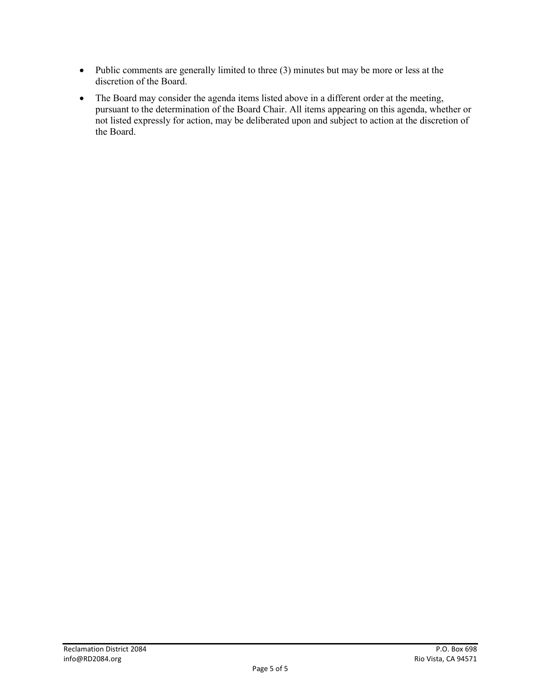- Public comments are generally limited to three (3) minutes but may be more or less at the discretion of the Board.
- The Board may consider the agenda items listed above in a different order at the meeting, pursuant to the determination of the Board Chair. All items appearing on this agenda, whether or not listed expressly for action, may be deliberated upon and subject to action at the discretion of the Board.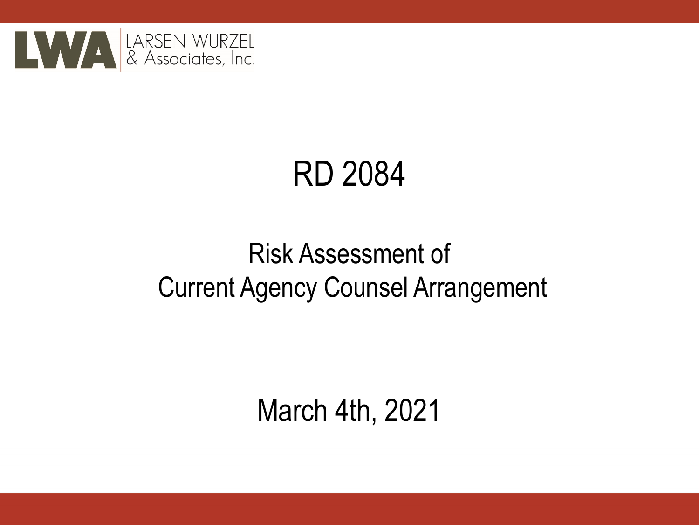

# RD 2084

## Risk Assessment of Current Agency Counsel Arrangement

March 4th, 2021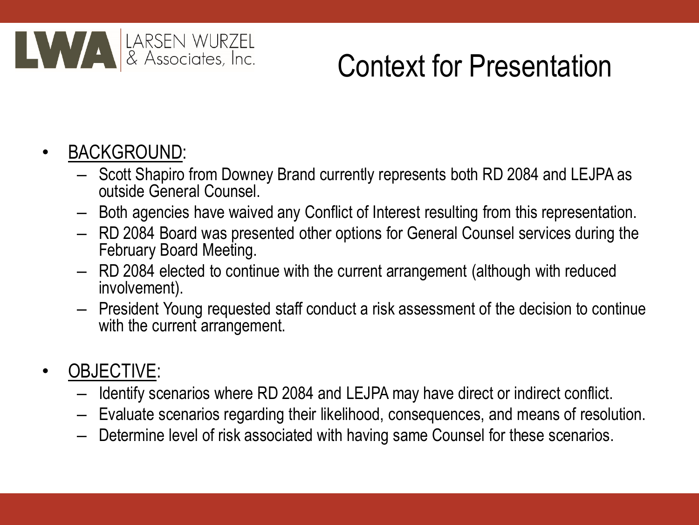

# Context for Presentation

- BACKGROUND:
	- Scott Shapiro from Downey Brand currently represents both RD 2084 and LEJPA as outside General Counsel.
	- Both agencies have waived any Conflict of Interest resulting from this representation.
	- RD 2084 Board was presented other options for General Counsel services during the February Board Meeting.
	- RD 2084 elected to continue with the current arrangement (although with reduced involvement).
	- President Young requested staff conduct a risk assessment of the decision to continue with the current arrangement.
- OBJECTIVE:
	- Identify scenarios where RD 2084 and LEJPA may have direct or indirect conflict.
	- Evaluate scenarios regarding their likelihood, consequences, and means of resolution.
	- Determine level of risk associated with having same Counsel for these scenarios.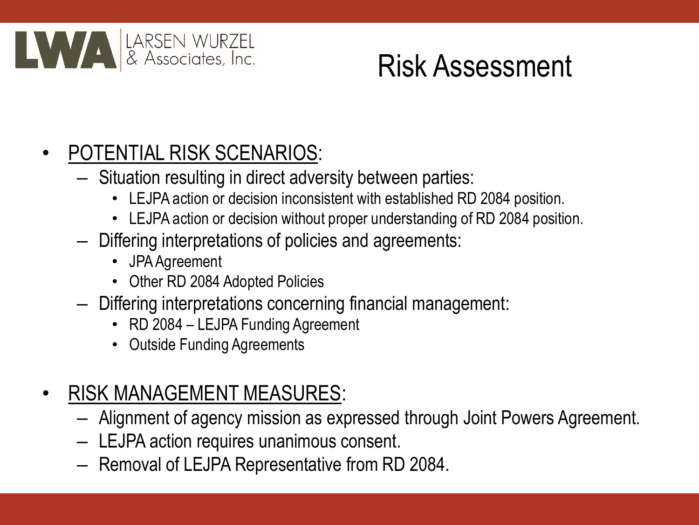

# Risk Assessment

### • POTENTIAL RISK SCENARIOS:

- Situation resulting in direct adversity between parties:
	- LEJPA action or decision inconsistent with established RD 2084 position.
	- LEJPA action or decision without proper understanding of RD 2084 position.
- Differing interpretations of policies and agreements:
	- JPA Agreement
	- Other RD 2084 Adopted Policies
- Differing interpretations concerning financial management:
	- RD 2084 LEJPA Funding Agreement
	- **Outside Funding Agreements**
- RISK MANAGEMENT MEASURES:
	- Alignment of agency mission as expressed through Joint Powers Agreement.
	- LEJPA action requires unanimous consent.
	- Removal of LEJPA Representative from RD 2084.